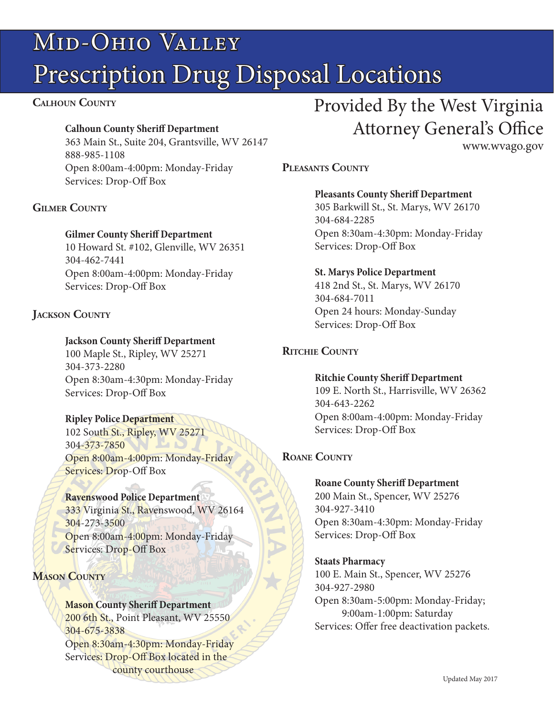# Mid-Ohio Valley Prescription Drug Disposal Locations

#### **Calhoun County**

#### **Calhoun County Sheriff Department**

363 Main St., Suite 204, Grantsville, WV 26147 888-985-1108 Open 8:00am-4:00pm: Monday-Friday Services: Drop-Off Box

# **Gilmer County**

#### **Gilmer County Sheriff Department**

10 Howard St. #102, Glenville, WV 26351 304-462-7441 Open 8:00am-4:00pm: Monday-Friday Services: Drop-Off Box

# **Jackson County**

#### **Jackson County Sheriff Department**

100 Maple St., Ripley, WV 25271 304-373-2280 Open 8:30am-4:30pm: Monday-Friday Services: Drop-Off Box

#### **Ripley Police Department**

102 South St., Ripley, WV 25271 304-373-7850 Open 8:00am-4:00pm: Monday-Friday Services: Drop-Off Box

#### **Ravenswood Police Department**

333 Virginia St., Ravenswood, WV 26164 304-273-3500 Open 8:00am-4:00pm: Monday-Friday Services: Drop-Off Box

# **Mason County**

# **Mason County Sheriff Department**

200 6th St., Point Pleasant, WV 25550 304-675-3838 Open 8:30am-4:30pm: Monday-Friday Services: Drop-Off Box located in the county courthouse

# Provided By the West Virginia Attorney General's Office

www.wvago.gov

# **Pleasants County**

# **Pleasants County Sheriff Department**

305 Barkwill St., St. Marys, WV 26170 304-684-2285 Open 8:30am-4:30pm: Monday-Friday Services: Drop-Off Box

#### **St. Marys Police Department**

418 2nd St., St. Marys, WV 26170 304-684-7011 Open 24 hours: Monday-Sunday Services: Drop-Off Box

# **Ritchie County**

**Ritchie County Sheriff Department** 109 E. North St., Harrisville, WV 26362 304-643-2262 Open 8:00am-4:00pm: Monday-Friday Services: Drop-Off Box

# **Roane County**

#### **Roane County Sheriff Department**

200 Main St., Spencer, WV 25276 304-927-3410 Open 8:30am-4:30pm: Monday-Friday Services: Drop-Off Box

#### **Staats Pharmacy**

100 E. Main St., Spencer, WV 25276 304-927-2980 Open 8:30am-5:00pm: Monday-Friday; 9:00am-1:00pm: Saturday Services: Offer free deactivation packets.